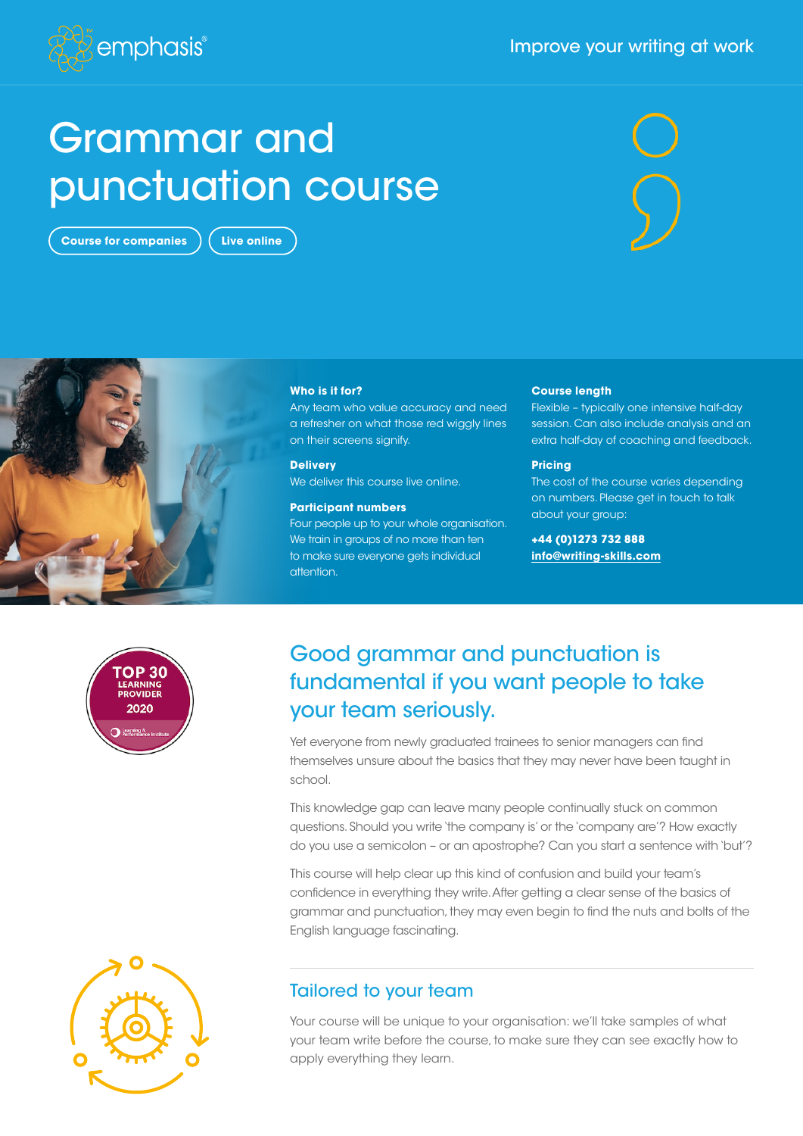#### Improve your writing at work



# Grammar and punctuation course

**Course for companies**  $\left($  Live online





#### **Who is it for?**

Any team who value accuracy and need a refresher on what those red wiggly lines on their screens signify.

**Delivery** We deliver this course live online.

#### **Participant numbers**

Four people up to your whole organisation. We train in groups of no more than ten to make sure everyone gets individual attention.

#### **Course length**

Flexible – typically one intensive half-day session. Can also include analysis and an extra half-day of coaching and feedback.

#### **Pricing**

The cost of the course varies depending on numbers. Please get in touch to talk about your group:

**+44 (0)1273 732 888 [info@writing-skills.com](mailto:info%40writing-skills.com?subject=)**



## Good grammar and punctuation is fundamental if you want people to take your team seriously.

Yet everyone from newly graduated trainees to senior managers can find themselves unsure about the basics that they may never have been taught in school.

This knowledge gap can leave many people continually stuck on common questions. Should you write 'the company is' or the 'company are'? How exactly do you use a semicolon – or an apostrophe? Can you start a sentence with 'but'?

This course will help clear up this kind of confusion and build your team's confidence in everything they write. After getting a clear sense of the basics of grammar and punctuation, they may even begin to find the nuts and bolts of the English language fascinating.



Your course will be unique to your organisation: we'll take samples of what your team write before the course, to make sure they can see exactly how to apply everything they learn.

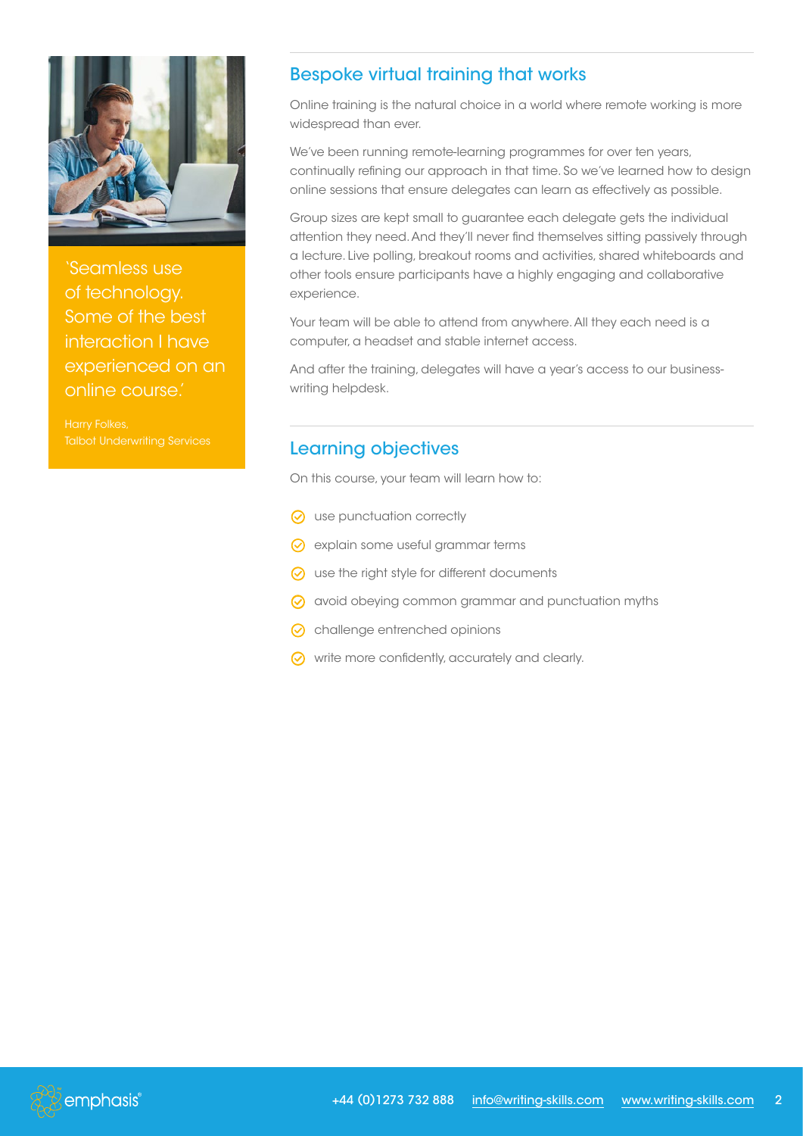

'Seamless use of technology. Some of the best interaction I have experienced on an online course.'

Harry Folkes,

## Bespoke virtual training that works

Online training is the natural choice in a world where remote working is more widespread than ever.

We've been running remote-learning programmes for over ten years, continually refining our approach in that time. So we've learned how to design online sessions that ensure delegates can learn as effectively as possible.

Group sizes are kept small to guarantee each delegate gets the individual attention they need. And they'll never find themselves sitting passively through a lecture. Live polling, breakout rooms and activities, shared whiteboards and other tools ensure participants have a highly engaging and collaborative experience.

Your team will be able to attend from anywhere. All they each need is a computer, a headset and stable internet access.

And after the training, delegates will have a year's access to our businesswriting helpdesk.

## Learning objectives

On this course, your team will learn how to:

- $\odot$  use punctuation correctly
- G explain some useful grammar terms
- $\odot$  use the right style for different documents
- G avoid obeying common grammar and punctuation myths
- G challenge entrenched opinions
- $\odot$  write more confidently, accurately and clearly.

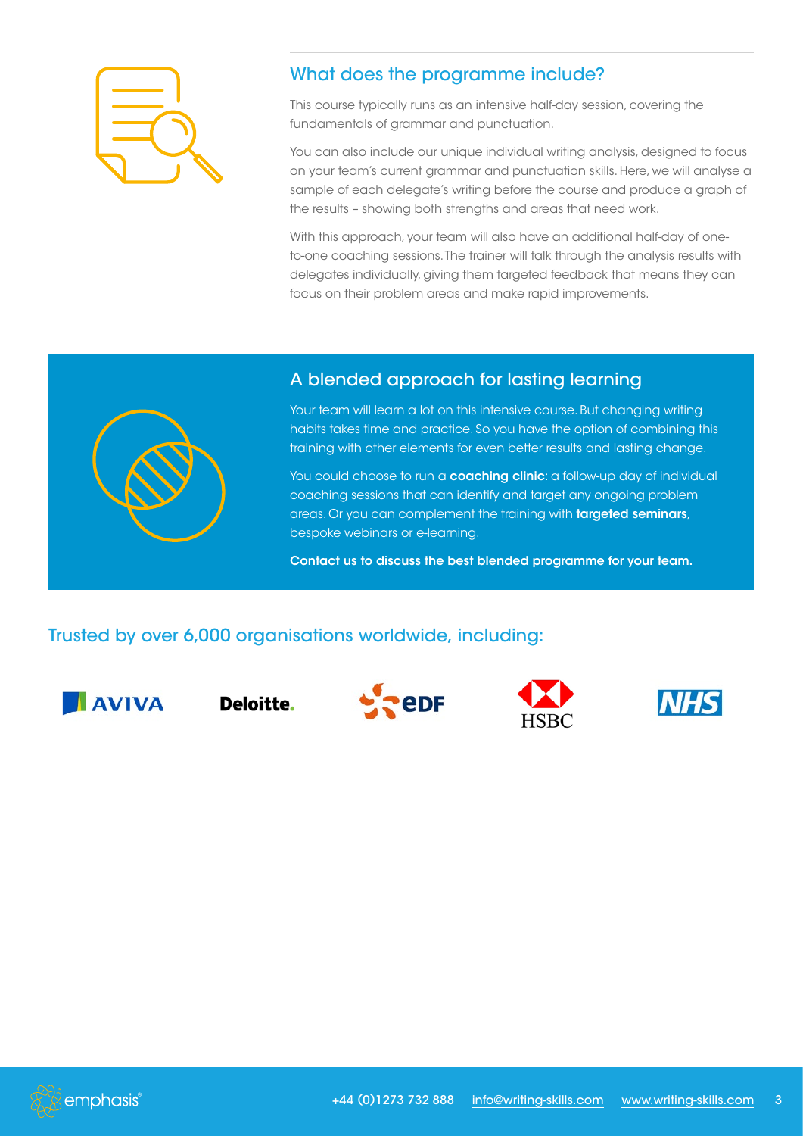

## What does the programme include?

This course typically runs as an intensive half-day session, covering the fundamentals of grammar and punctuation.

You can also include our unique individual writing analysis, designed to focus on your team's current grammar and punctuation skills. Here, we will analyse a sample of each delegate's writing before the course and produce a graph of the results – showing both strengths and areas that need work.

With this approach, your team will also have an additional half-day of oneto-one coaching sessions. The trainer will talk through the analysis results with delegates individually, giving them targeted feedback that means they can focus on their problem areas and make rapid improvements.



### A blended approach for lasting learning

Your team will learn a lot on this intensive course. But changing writing habits takes time and practice. So you have the option of combining this training with other elements for even better results and lasting change.

You could choose to run a coaching clinic: a follow-up day of individual coaching sessions that can identify and target any ongoing problem areas. Or you can complement the training with **targeted seminars**, bespoke webinars or e-learning.

Contact us to discuss the best blended programme for your team.

## Trusted by over 6,000 organisations worldwide, including:



Deloitte.